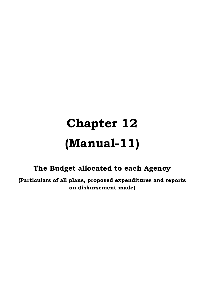## **Chapter 12 (Manual-11)**

## **The Budget allocated to each Agency**

**(Particulars of all plans, proposed expenditures and reports on disbursement made)**